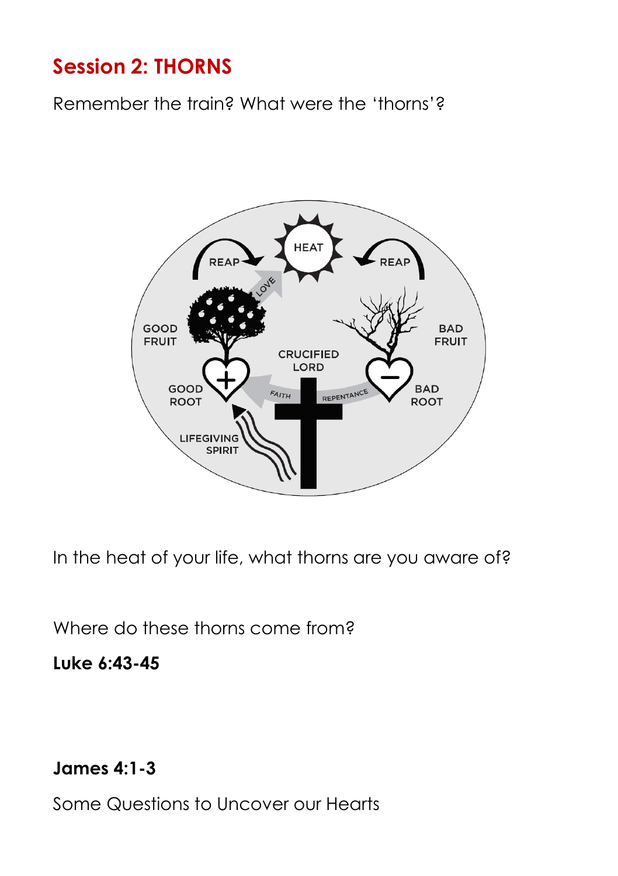## **Session 2: THORNS**

Remember the train? What were the 'thorns'?



In the heat of your life, what thorns are you aware of?

Where do these thorns come from?

## **Luke 6:43-45**

**James 4:1-3**

Some Questions to Uncover our Hearts